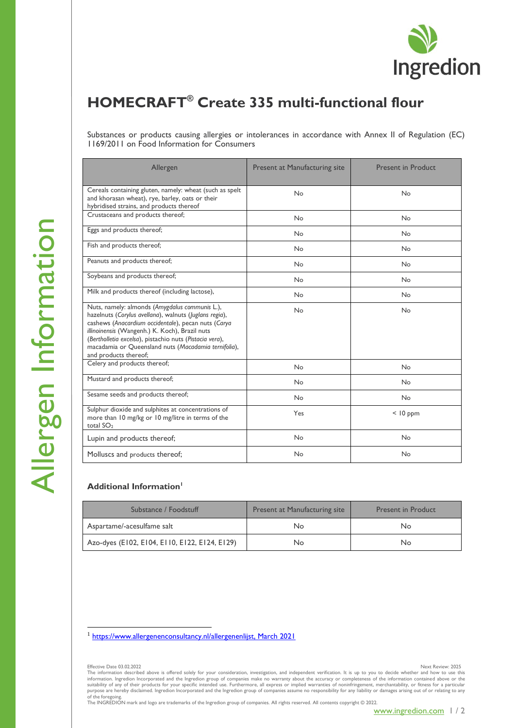

## **HOMECRAFT® Create 335 multi-functional flour**

Substances or products causing allergies or intolerances in accordance with Annex II of Regulation (EC) 1169/2011 on Food Information for Consumers

| Allergen                                                                                                                                                                                                                                                                                                                                                      | <b>Present at Manufacturing site</b> | <b>Present in Product</b> |
|---------------------------------------------------------------------------------------------------------------------------------------------------------------------------------------------------------------------------------------------------------------------------------------------------------------------------------------------------------------|--------------------------------------|---------------------------|
| Cereals containing gluten, namely: wheat (such as spelt<br>and khorasan wheat), rye, barley, oats or their<br>hybridised strains, and products thereof                                                                                                                                                                                                        | <b>No</b>                            | No                        |
| Crustaceans and products thereof;                                                                                                                                                                                                                                                                                                                             | <b>No</b>                            | No                        |
| Eggs and products thereof;                                                                                                                                                                                                                                                                                                                                    | <b>No</b>                            | No                        |
| Fish and products thereof;                                                                                                                                                                                                                                                                                                                                    | <b>No</b>                            | No                        |
| Peanuts and products thereof;                                                                                                                                                                                                                                                                                                                                 | <b>No</b>                            | No                        |
| Soybeans and products thereof;                                                                                                                                                                                                                                                                                                                                | <b>No</b>                            | <b>No</b>                 |
| Milk and products thereof (including lactose),                                                                                                                                                                                                                                                                                                                | <b>No</b>                            | No                        |
| Nuts, namely: almonds (Amygdalus communis L.),<br>hazelnuts (Corylus avellana), walnuts (Juglans regia),<br>cashews (Anacardium occidentale), pecan nuts (Carya<br>illinoinensis (Wangenh.) K. Koch), Brazil nuts<br>(Bertholletia excelsa), pistachio nuts (Pistacia vera),<br>macadamia or Queensland nuts (Macadamia ternifolia),<br>and products thereof; | <b>No</b>                            | No                        |
| Celery and products thereof;                                                                                                                                                                                                                                                                                                                                  | <b>No</b>                            | No                        |
| Mustard and products thereof;                                                                                                                                                                                                                                                                                                                                 | <b>No</b>                            | <b>No</b>                 |
| Sesame seeds and products thereof;                                                                                                                                                                                                                                                                                                                            | <b>No</b>                            | <b>No</b>                 |
| Sulphur dioxide and sulphites at concentrations of<br>more than 10 mg/kg or 10 mg/litre in terms of the<br>total $SO2$                                                                                                                                                                                                                                        | Yes                                  | $<$ 10 ppm                |
| Lupin and products thereof;                                                                                                                                                                                                                                                                                                                                   | <b>No</b>                            | No                        |
| Molluscs and products thereof;                                                                                                                                                                                                                                                                                                                                | <b>No</b>                            | No                        |

## **Additional Information<sup>1</sup>**

| Substance / Foodstuff                         | <b>Present at Manufacturing site</b> | <b>Present in Product</b> |
|-----------------------------------------------|--------------------------------------|---------------------------|
| Aspartame/-acesulfame salt                    | No                                   | No                        |
| Azo-dyes (E102, E104, E110, E122, E124, E129) | No                                   | No                        |

<sup>1</sup> [https://www.allergenenconsultancy.nl/allergenenlijst,](https://www.allergenenconsultancy.nl/allergenenlijst) March 2021

of the foregoing. The INGREDION mark and logo are trademarks of the Ingredion group of companies. All rights reserved. All contents copyright © 2022.

Effective Date 03.02.2022 Next Review: 2025 The information described above is offered solely for your consideration, investigation, and independent verification. It is up to you to decide whether and how to use this information. Ingredion Incorporated and the Ingredion group of companies make no warranty about the accuracy or completeness of the information contained above or the<br>suitablity of any of their products for your specific i